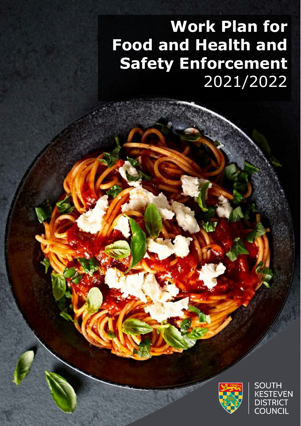# <u>Iety Enforceme</u>  $\frac{1}{2021/20}$ **Work Plan for Food and Health and Safety Enforcement** 2021/2022



**SOUTH KESTEVEN DISTRICT COUNCIL**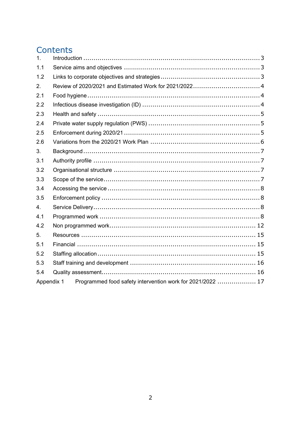# Contents

| 1 <sub>1</sub> |                                                            |  |
|----------------|------------------------------------------------------------|--|
| 1.1            |                                                            |  |
| 1.2            |                                                            |  |
| 2.             |                                                            |  |
| 2.1            |                                                            |  |
| 2.2            |                                                            |  |
| 2.3            |                                                            |  |
| 2.4            |                                                            |  |
| 2.5            |                                                            |  |
| 2.6            |                                                            |  |
| 3.             |                                                            |  |
| 3.1            |                                                            |  |
| 3.2            |                                                            |  |
| 3.3            |                                                            |  |
| 3.4            |                                                            |  |
| 3.5            |                                                            |  |
| 4.             |                                                            |  |
| 4.1            |                                                            |  |
| 4.2            |                                                            |  |
| 5.             |                                                            |  |
| 5.1            |                                                            |  |
| 5.2            |                                                            |  |
| 5.3            |                                                            |  |
| 5.4            |                                                            |  |
| Appendix 1     | Programmed food safety intervention work for 2021/2022  17 |  |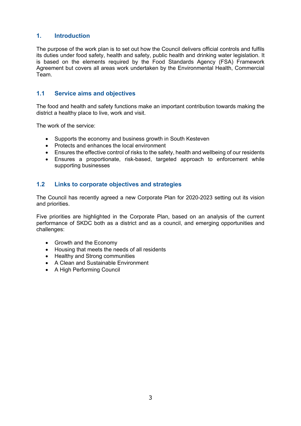# <span id="page-2-0"></span>**1. Introduction**

The purpose of the work plan is to set out how the Council delivers official controls and fulfils its duties under food safety, health and safety, public health and drinking water legislation. It is based on the elements required by the Food Standards Agency (FSA) Framework Agreement but covers all areas work undertaken by the Environmental Health, Commercial Team.

# <span id="page-2-1"></span>**1.1 Service aims and objectives**

The food and health and safety functions make an important contribution towards making the district a healthy place to live, work and visit.

The work of the service:

- Supports the economy and business growth in South Kesteven
- Protects and enhances the local environment
- Ensures the effective control of risks to the safety, health and wellbeing of our residents
- Ensures a proportionate, risk-based, targeted approach to enforcement while supporting businesses

# <span id="page-2-2"></span>**1.2 Links to corporate objectives and strategies**

The Council has recently agreed a new Corporate Plan for 2020-2023 setting out its vision and priorities.

Five priorities are highlighted in the Corporate Plan, based on an analysis of the current performance of SKDC both as a district and as a council, and emerging opportunities and challenges:

- Growth and the Economy
- Housing that meets the needs of all residents
- Healthy and Strong communities
- A Clean and Sustainable Environment
- A High Performing Council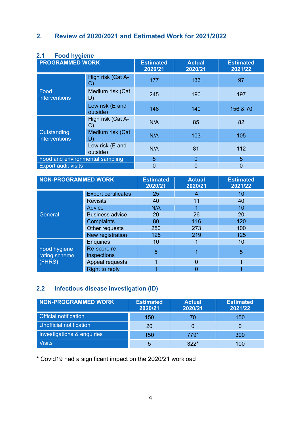# <span id="page-3-1"></span><span id="page-3-0"></span>**2. Review of 2020/2021 and Estimated Work for 2021/2022**

| <b>PROGRAMMED WORK</b>          |                             | <b>Estimated</b><br>2020/21 | <b>Actual</b><br>2020/21 | <b>Estimated</b><br>2021/22 |
|---------------------------------|-----------------------------|-----------------------------|--------------------------|-----------------------------|
|                                 | High risk (Cat A-<br>C)     | 177                         | 133                      | 97                          |
| Food<br>interventions           | Medium risk (Cat<br>D)      | 245                         | 190                      | 197                         |
|                                 | Low risk (E and<br>outside) | 146                         | 140                      | 156 & 70                    |
|                                 | High risk (Cat A-<br>C)     | N/A                         | 85                       | 82                          |
| Outstanding<br>interventions    | Medium risk (Cat<br>D)      | N/A                         | 103                      | 105                         |
|                                 | Low risk (E and<br>outside) | N/A                         | 81                       | 112                         |
| Food and environmental sampling |                             | 5                           | $\overline{0}$           | 5                           |
| <b>Export audit visits</b>      |                             | $\overline{0}$              | $\overline{0}$           | 0                           |

# **2.1 Food hygiene**

| <b>NON-PROGRAMMED WORK</b>    |                             | <b>Estimated</b><br>2020/21 | <b>Actual</b><br>2020/21 | <b>Estimated</b><br>2021/22 |
|-------------------------------|-----------------------------|-----------------------------|--------------------------|-----------------------------|
|                               | <b>Export certificates</b>  | 25                          | 4                        | 10                          |
|                               | <b>Revisits</b>             | 40                          | 11                       | 40                          |
|                               | <b>Advice</b>               | N/A                         |                          | 10                          |
| General                       | <b>Business advice</b>      | <b>20</b>                   | 26                       | 20                          |
|                               | Complaints                  | 80                          | 116                      | 120                         |
|                               | Other requests              | 250                         | 273                      | 100                         |
|                               | New registration            | 125                         | 219                      | 125                         |
|                               | <b>Enquiries</b>            | 10                          |                          | 10                          |
| Food hygiene<br>rating scheme | Re-score re-<br>inspections | 5                           |                          | 5                           |
| (FHRS)                        | Appeal requests             |                             | $\Omega$                 |                             |
|                               | <b>Right to reply</b>       |                             |                          |                             |

# <span id="page-3-2"></span>**2.2 Infectious disease investigation (ID)**

| <b>NON-PROGRAMMED WORK</b>   | <b>Estimated</b><br>2020/21 | <b>Actual</b><br>2020/21 | <b>Estimated</b><br>2021/22 |
|------------------------------|-----------------------------|--------------------------|-----------------------------|
| <b>Official notification</b> | 150                         | 70                       | 150                         |
| Unofficial notification      | 20                          |                          |                             |
| Investigations & enquiries   | 150                         | 779*                     | 300                         |
| <b>Visits</b>                | 5                           | $322*$                   | 100                         |

\* Covid19 had a significant impact on the 2020/21 workload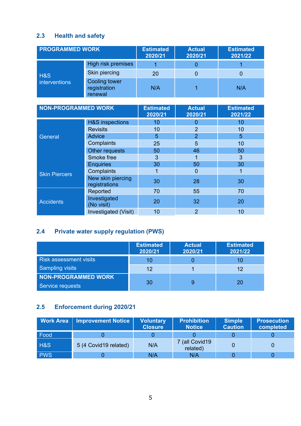# <span id="page-4-0"></span>**2.3 Health and safety**

| <b>PROGRAMMED WORK</b> |                                                 | <b>Estimated</b><br>2020/21 | <b>Actual</b><br>2020/21 | <b>Estimated</b><br>2021/22 |
|------------------------|-------------------------------------------------|-----------------------------|--------------------------|-----------------------------|
|                        | High risk premises                              |                             |                          |                             |
| <b>H&amp;S</b>         | Skin piercing                                   | 20                          |                          |                             |
| interventions          | <b>Cooling tower</b><br>registration<br>renewal | N/A                         |                          | N/A                         |

| <b>NON-PROGRAMMED WORK</b> |                                    | <b>Estimated</b><br>2020/21 | <b>Actual</b><br>2020/21 | <b>Estimated</b><br>2021/22 |
|----------------------------|------------------------------------|-----------------------------|--------------------------|-----------------------------|
|                            | <b>H&amp;S</b> inspections         | 10                          | 0                        | 10                          |
|                            | <b>Revisits</b>                    | 10                          | $\overline{2}$           | 10                          |
| General                    | <b>Advice</b>                      | 5                           | $\overline{2}$           | 5                           |
|                            | Complaints                         | 25                          | 5                        | 10                          |
|                            | Other requests                     | 50                          | 46                       | 50                          |
|                            | Smoke free                         | 3                           | 1                        | 3                           |
|                            | <b>Enquiries</b>                   | 30                          | 50                       | 30                          |
| <b>Skin Piercers</b>       | Complaints                         |                             | 0                        |                             |
|                            | New skin piercing<br>registrations | 30                          | 28                       | 30                          |
|                            | Reported                           | 70                          | 55                       | 70                          |
| <b>Accidents</b>           | Investigated<br>(No visit)         | 20                          | 32                       | <b>20</b>                   |
|                            | Investigated (Visit)               | 10                          | $\overline{2}$           | 10                          |

# <span id="page-4-1"></span>**2.4 Private water supply regulation (PWS)**

|                                                | <b>Estimated</b><br>2020/21 | <b>Actual</b><br>2020/21 | <b>Estimated</b><br>2021/22 |
|------------------------------------------------|-----------------------------|--------------------------|-----------------------------|
| <b>Risk assessment visits</b>                  | 10                          |                          | 10                          |
| Sampling visits                                | 12                          |                          | 12                          |
| <b>NON-PROGRAMMED WORK</b><br>Service requests | 30                          |                          | 20                          |

# <span id="page-4-2"></span>**2.5 Enforcement during 2020/21**

| <b>Work Area</b> | <b>Improvement Notice</b> | <b>Voluntary</b><br><b>Closure</b> | <b>Prohibition</b><br><b>Notice</b> | Simple<br><b>Caution</b> | <b>Prosecution</b><br>completed |
|------------------|---------------------------|------------------------------------|-------------------------------------|--------------------------|---------------------------------|
| Food             |                           |                                    |                                     |                          |                                 |
| <b>H&amp;S</b>   | 5 (4 Covid19 related)     | N/A                                | (all Covid19)<br>related)           |                          |                                 |
| <b>PWS</b>       |                           | N/A                                | N/A                                 |                          |                                 |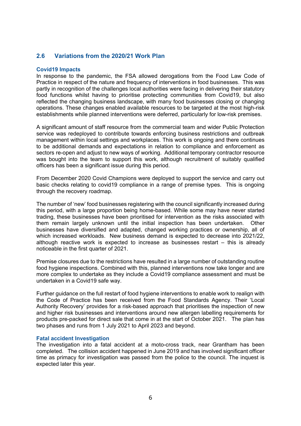# <span id="page-5-0"></span>**2.6 Variations from the 2020/21 Work Plan**

#### **Covid19 Impacts**

In response to the pandemic, the FSA allowed derogations from the Food Law Code of Practice in respect of the nature and frequency of interventions in food businesses. This was partly in recognition of the challenges local authorities were facing in delivering their statutory food functions whilst having to prioritise protecting communities from Covid19, but also reflected the changing business landscape, with many food businesses closing or changing operations. These changes enabled available resources to be targeted at the most high-risk establishments while planned interventions were deferred, particularly for low-risk premises.

A significant amount of staff resource from the commercial team and wider Public Protection service was redeployed to contribute towards enforcing business restrictions and outbreak management within local settings and workplaces. This work is ongoing and there continues to be additional demands and expectations in relation to compliance and enforcement as sectors re-open and adjust to new ways of working. Additional temporary contractor resource was bought into the team to support this work, although recruitment of suitably qualified officers has been a significant issue during this period.

From December 2020 Covid Champions were deployed to support the service and carry out basic checks relating to covid19 compliance in a range of premise types. This is ongoing through the recovery roadmap.

The number of 'new' food businesses registering with the council significantly increased during this period, with a large proportion being home-based. While some may have never started trading, these businesses have been prioritised for intervention as the risks associated with them remain largely unknown until the initial inspection has been undertaken. Other businesses have diversified and adapted, changed working practices or ownership, all of which increased workloads. New business demand is expected to decrease into 2021/22, although reactive work is expected to increase as businesses restart – this is already noticeable in the first quarter of 2021.

Premise closures due to the restrictions have resulted in a large number of outstanding routine food hygiene inspections. Combined with this, planned interventions now take longer and are more complex to undertake as they include a Covid19 compliance assessment and must be undertaken in a Covid19 safe way.

Further guidance on the full restart of food hygiene interventions to enable work to realign with the Code of Practice has been received from the Food Standards Agency. Their 'Local Authority Recovery' provides for a risk-based approach that prioritises the inspection of new and higher risk businesses and interventions around new allergen labelling requirements for products pre-packed for direct sale that come in at the start of October 2021. The plan has two phases and runs from 1 July 2021 to April 2023 and beyond.

#### **Fatal accident Investigation**

The investigation into a fatal accident at a moto-cross track, near Grantham has been completed. The collision accident happened in June 2019 and has involved significant officer time as primacy for investigation was passed from the police to the council. The inquest is expected later this year.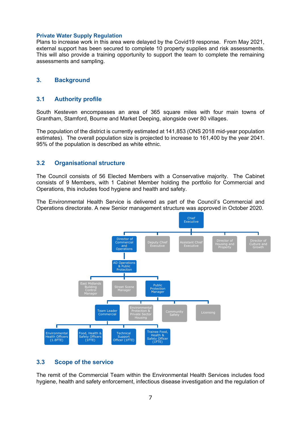#### **Private Water Supply Regulation**

Plans to increase work in this area were delayed by the Covid19 response. From May 2021, external support has been secured to complete 10 property supplies and risk assessments. This will also provide a training opportunity to support the team to complete the remaining assessments and sampling.

## <span id="page-6-1"></span><span id="page-6-0"></span>**3. Background**

## **3.1 Authority profile**

South Kesteven encompasses an area of 365 square miles with four main towns of Grantham, Stamford, Bourne and Market Deeping, alongside over 80 villages.

The population of the district is currently estimated at 141,853 (ONS 2018 mid-year population estimates). The overall population size is projected to increase to 161,400 by the year 2041. 95% of the population is described as white ethnic.

# <span id="page-6-2"></span>**3.2 Organisational structure**

The Council consists of 56 Elected Members with a Conservative majority. The Cabinet consists of 9 Members, with 1 Cabinet Member holding the portfolio for Commercial and Operations, this includes food hygiene and health and safety.

The Environmental Health Service is delivered as part of the Council's Commercial and Operations directorate. A new Senior management structure was approved in October 2020.



# <span id="page-6-3"></span>**3.3 Scope of the service**

The remit of the Commercial Team within the Environmental Health Services includes food hygiene, health and safety enforcement, infectious disease investigation and the regulation of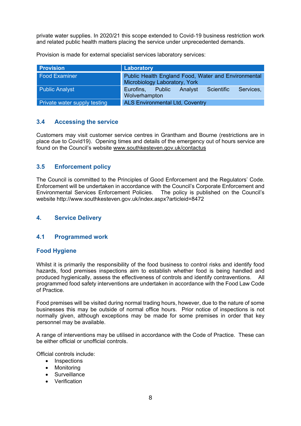private water supplies. In 2020/21 this scope extended to Covid-19 business restriction work and related public health matters placing the service under unprecedented demands.

Provision is made for external specialist services laboratory services:

| <b>Provision</b>             | Laboratory                                                                           |  |  |  |
|------------------------------|--------------------------------------------------------------------------------------|--|--|--|
| <b>Food Examiner</b>         | Public Health England Food, Water and Environmental<br>Microbiology Laboratory, York |  |  |  |
| <b>Public Analyst</b>        | Eurofins, Public<br>Scientific<br>Analyst<br>Services,<br>Wolverhampton              |  |  |  |
| Private water supply testing | <b>ALS Environmental Ltd, Coventry</b>                                               |  |  |  |

# <span id="page-7-0"></span>**3.4 Accessing the service**

Customers may visit customer service centres in Grantham and Bourne (restrictions are in place due to Covid19). Opening times and details of the emergency out of hours service are found on the Council's website [www.southkesteven.gov.uk/contactus](http://www.southkesteven.gov.uk/contactus) 

# <span id="page-7-1"></span>**3.5 Enforcement policy**

The Council is committed to the Principles of Good Enforcement and the Regulators' Code. Enforcement will be undertaken in accordance with the Council's Corporate Enforcement and Environmental Services Enforcement Policies. The policy is published on the Council's website http://www.southkesteven.gov.uk/index.aspx?articleid=8472

# <span id="page-7-3"></span><span id="page-7-2"></span>**4. Service Delivery**

# **4.1 Programmed work**

#### **Food Hygiene**

Whilst it is primarily the responsibility of the food business to control risks and identify food hazards, food premises inspections aim to establish whether food is being handled and produced hygienically, assess the effectiveness of controls and identify contraventions. All programmed food safety interventions are undertaken in accordance with the Food Law Code of Practice.

Food premises will be visited during normal trading hours, however, due to the nature of some businesses this may be outside of normal office hours. Prior notice of inspections is not normally given, although exceptions may be made for some premises in order that key personnel may be available.

A range of interventions may be utilised in accordance with the Code of Practice. These can be either official or unofficial controls.

Official controls include:

- Inspections
- Monitoring
- Surveillance
- Verification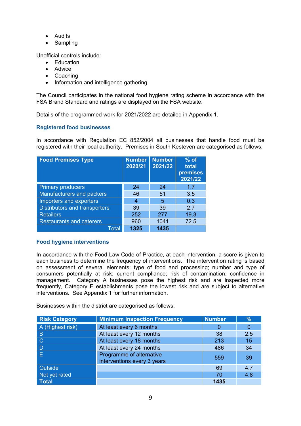- Audits
- Sampling

Unofficial controls include:

- Education
- Advice
- Coaching
- Information and intelligence gathering

The Council participates in the national food hygiene rating scheme in accordance with the FSA Brand Standard and ratings are displayed on the FSA website.

Details of the programmed work for 2021/2022 are detailed in Appendix 1.

## **Registered food businesses**

In accordance with Regulation EC 852/2004 all businesses that handle food must be registered with their local authority. Premises in South Kesteven are categorised as follows:

| <b>Food Premises Type</b>            | <b>Number</b><br>2020/21 | <b>Number</b><br>2021/22 | $%$ of<br>total<br>premises<br>2021/22 |
|--------------------------------------|--------------------------|--------------------------|----------------------------------------|
| <b>Primary producers</b>             | 24                       | 24                       | 17                                     |
| <b>Manufacturers and packers</b>     | 46                       | 51                       | 3.5                                    |
| Importers and exporters              | 4                        | 5                        | 0.3                                    |
| <b>Distributors and transporters</b> | 39                       | 39                       | 27                                     |
| <b>Retailers</b>                     | 252                      | 277                      | 19.3                                   |
| <b>Restaurants and caterers</b>      | 960                      | 1041                     | 72.5                                   |
| Total                                | 1325                     | 1435                     |                                        |

#### **Food hygiene interventions**

In accordance with the Food Law Code of Practice, at each intervention, a score is given to each business to determine the frequency of interventions. The intervention rating is based on assessment of several elements: type of food and processing; number and type of consumers potentially at risk; current compliance; risk of contamination; confidence in management. Category A businesses pose the highest risk and are inspected more frequently, Category E establishments pose the lowest risk and are subject to alternative interventions. See Appendix 1 for further information.

Businesses within the district are categorised as follows:

| <b>Risk Category</b> | <b>Minimum Inspection Frequency</b>                     | <b>Number</b> | $\frac{9}{6}$ |
|----------------------|---------------------------------------------------------|---------------|---------------|
| A (Highest risk)     | At least every 6 months                                 | $\Omega$      |               |
| $\overline{B}$       | At least every 12 months                                | 38            | 2.5           |
| $\overline{C}$       | At least every 18 months                                | 213           | 15            |
| $\overline{D}$       | At least every 24 months                                | 486           | 34            |
| l El                 | Programme of alternative<br>interventions every 3 years | 559           | -39           |
| Outside              |                                                         | 69            | 4.7           |
| Not yet rated        |                                                         | 70            | 4.8           |
| Total                |                                                         | 1435          |               |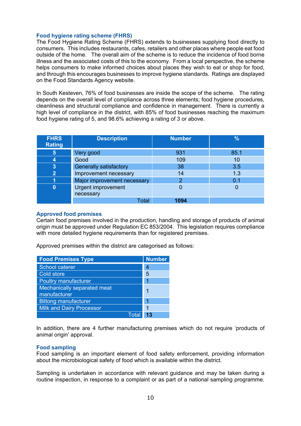#### **Food hygiene rating scheme (FHRS)**

The Food Hygiene Rating Scheme (FHRS) extends to businesses supplying food directly to consumers. This includes restaurants, cafes, retailers and other places where people eat food outside of the home. The overall aim of the scheme is to reduce the incidence of food borne illness and the associated costs of this to the economy. From a local perspective, the scheme helps consumers to make informed choices about places they wish to eat or shop for food, and through this encourages businesses to improve hygiene standards. Ratings are displayed on the Food Standards Agency website.

In South Kesteven, 76% of food businesses are inside the scope of the scheme. The rating depends on the overall level of compliance across three elements; food hygiene procedures, cleanliness and structural compliance and confidence in management. There is currently a high level of compliance in the district, with 85% of food businesses reaching the maximum food hygiene rating of 5, and 98.6% achieving a rating of 3 or above.

| <b>FHRS</b><br><b>Rating</b> | <b>Description</b>            | <b>Number</b> | $\frac{9}{6}$ |
|------------------------------|-------------------------------|---------------|---------------|
| $\vert 5 \vert$              | Very good                     | 931           | 85.1          |
| 4                            | Good                          | 109           | 10            |
| 3                            | <b>Generally satisfactory</b> | 38            | 3.5           |
| $\mathbf{2}$                 | Improvement necessary         | 14            | 1.3           |
|                              | Major improvement necessary   | 2             | 0.1           |
|                              | <b>Urgent improvement</b>     |               |               |
|                              | necessary                     |               |               |
|                              | Total                         | 1094          |               |

#### **Approved food premises**

Certain food premises involved in the production, handling and storage of products of animal origin must be approved under Regulation EC 853/2004. This legislation requires compliance with more detailed hygiene requirements than for registered premises.

Approved premises within the district are categorised as follows:

| <b>Food Premises Type</b>                          | <b>Number</b> |
|----------------------------------------------------|---------------|
| School caterer                                     | 4             |
| Cold store                                         | 5             |
| <b>Poultry manufacturer</b>                        | 1             |
| <b>Mechanically separated meat</b><br>manufacturer | 1             |
| <b>Biltong manufacturer</b>                        | 1             |
| <b>Milk and Dairy Processor</b>                    | 1             |
| Total                                              | 13            |

In addition, there are 4 further manufacturing premises which do not require 'products of animal origin' approval.

#### **Food sampling**

Food sampling is an important element of food safety enforcement, providing information about the microbiological safety of food which is available within the district.

Sampling is undertaken in accordance with relevant guidance and may be taken during a routine inspection, in response to a complaint or as part of a national sampling programme.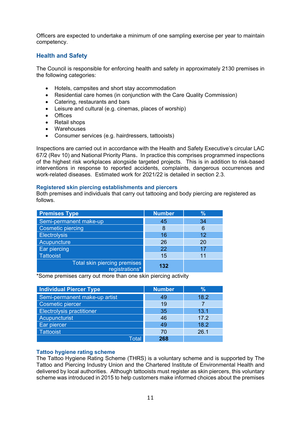Officers are expected to undertake a minimum of one sampling exercise per year to maintain competency.

# **Health and Safety**

The Council is responsible for enforcing health and safety in approximately 2130 premises in the following categories:

- Hotels, campsites and short stay accommodation
- Residential care homes (in conjunction with the Care Quality Commission)
- Catering, restaurants and bars
- Leisure and cultural (e.g. cinemas, places of worship)
- Offices
- Retail shops
- Warehouses
- Consumer services (e.g. hairdressers, tattooists)

Inspections are carried out in accordance with the Health and Safety Executive's circular LAC 67/2 (Rev 10) and National Priority Plans. In practice this comprises programmed inspections of the highest risk workplaces alongside targeted projects. This is in addition to risk-based interventions in response to reported accidents, complaints, dangerous occurrences and work-related diseases. Estimated work for 2021/22 is detailed in section 2.3.

#### **Registered skin piercing establishments and piercers**

Both premises and individuals that carry out tattooing and body piercing are registered as follows.

| <b>Premises Type</b>                           | <b>Number</b> | %  |
|------------------------------------------------|---------------|----|
| Semi-permanent make-up                         | 45            | 34 |
| <b>Cosmetic piercing</b>                       | 8             | 6  |
| <b>Electrolysis</b>                            | 16            | 12 |
| Acupuncture                                    | 26            | 20 |
| Ear piercing                                   | 22            | 17 |
| <b>Tattooist</b>                               | 15            | 11 |
| Total skin piercing premises<br>registrations* | 132           |    |

\*Some premises carry out more than one skin piercing activity

| <b>Individual Piercer Type</b>   | <b>Number</b> | %    |
|----------------------------------|---------------|------|
| Semi-permanent make-up artist    | 49            | 18.2 |
| Cosmetic piercer                 | 19            |      |
| <b>Electrolysis practitioner</b> | 35            | 13.1 |
| Acupuncturist                    | 46            | 17.2 |
| Ear piercer                      | 49            | 18.2 |
| <b>Tattooist</b>                 | 70            | 26.1 |
| Total                            | 268           |      |

#### **Tattoo hygiene rating scheme**

The Tattoo Hygiene Rating Scheme (THRS) is a voluntary scheme and is supported by The Tattoo and Piercing Industry Union and the Chartered Institute of Environmental Health and delivered by local authorities. Although tattooists must register as skin piercers, this voluntary scheme was introduced in 2015 to help customers make informed choices about the premises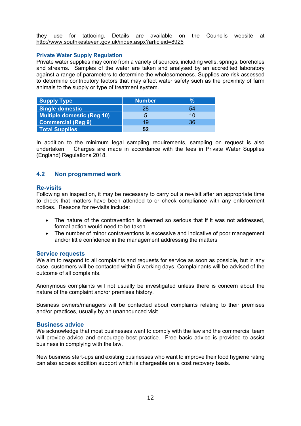they use for tattooing. Details are available on the Councils website at <http://www.southkesteven.gov.uk/index.aspx?articleid=8926>

#### **Private Water Supply Regulation**

Private water supplies may come from a variety of sources, including wells, springs, boreholes and streams. Samples of the water are taken and analysed by an accredited laboratory against a range of parameters to determine the wholesomeness. Supplies are risk assessed to determine contributory factors that may affect water safety such as the proximity of farm animals to the supply or type of treatment system.

| <b>Supply Type</b>         | <b>Number</b> | $\mathbf{V}_{\mathbf{0}}$ |
|----------------------------|---------------|---------------------------|
| Single domestic            | 28            | 54                        |
| Multiple domestic (Reg 10) | 5             | 10                        |
| <b>Commercial (Reg 9)</b>  | 19            | 36                        |
| <b>Total Supplies</b>      | 52            |                           |

In addition to the minimum legal sampling requirements, sampling on request is also undertaken. Charges are made in accordance with the fees in Private Water Supplies (England) Regulations 2018.

## <span id="page-11-0"></span>**4.2 Non programmed work**

#### **Re-visits**

Following an inspection, it may be necessary to carry out a re-visit after an appropriate time to check that matters have been attended to or check compliance with any enforcement notices. Reasons for re-visits include:

- The nature of the contravention is deemed so serious that if it was not addressed. formal action would need to be taken
- The number of minor contraventions is excessive and indicative of poor management and/or little confidence in the management addressing the matters

#### **Service requests**

We aim to respond to all complaints and requests for service as soon as possible, but in any case, customers will be contacted within 5 working days. Complainants will be advised of the outcome of all complaints.

Anonymous complaints will not usually be investigated unless there is concern about the nature of the complaint and/or premises history.

Business owners/managers will be contacted about complaints relating to their premises and/or practices, usually by an unannounced visit.

#### **Business advice**

We acknowledge that most businesses want to comply with the law and the commercial team will provide advice and encourage best practice. Free basic advice is provided to assist business in complying with the law.

New business start-ups and existing businesses who want to improve their food hygiene rating can also access addition support which is chargeable on a cost recovery basis.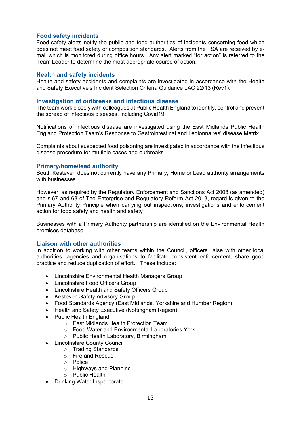## **Food safety incidents**

Food safety alerts notify the public and food authorities of incidents concerning food which does not meet food safety or composition standards. Alerts from the FSA are received by email which is monitored during office hours. Any alert marked "for action" is referred to the Team Leader to determine the most appropriate course of action.

#### **Health and safety incidents**

Health and safety accidents and complaints are investigated in accordance with the Health and Safety Executive's Incident Selection Criteria Guidance LAC 22/13 (Rev1).

#### **Investigation of outbreaks and infectious disease**

The team work closely with colleagues at Public Health England to identify, control and prevent the spread of infectious diseases, including Covid19.

Notifications of infectious disease are investigated using the East Midlands Public Health England Protection Team's Response to Gastrointestinal and Legionnaires' disease Matrix.

Complaints about suspected food poisoning are investigated in accordance with the infectious disease procedure for multiple cases and outbreaks.

## **Primary/home/lead authority**

South Kesteven does not currently have any Primary, Home or Lead authority arrangements with businesses.

However, as required by the Regulatory Enforcement and Sanctions Act 2008 (as amended) and s.67 and 68 of The Enterprise and Regulatory Reform Act 2013, regard is given to the Primary Authority Principle when carrying out inspections, investigations and enforcement action for food safety and health and safety

Businesses with a Primary Authority partnership are identified on the Environmental Health premises database.

#### **Liaison with other authorities**

In addition to working with other teams within the Council, officers liaise with other local authorities, agencies and organisations to facilitate consistent enforcement, share good practice and reduce duplication of effort. These include:

- Lincolnshire Environmental Health Managers Group
- Lincolnshire Food Officers Group
- Lincolnshire Health and Safety Officers Group
- Kesteven Safety Advisory Group
- Food Standards Agency (East Midlands, Yorkshire and Humber Region)
- Health and Safety Executive (Nottingham Region)
- Public Health England
	- o East Midlands Health Protection Team
	- o Food Water and Environmental Laboratories York
	- o Public Health Laboratory, Birmingham
- Lincolnshire County Council
	- o Trading Standards
	- o Fire and Rescue
	- o Police
	- o Highways and Planning
	- $\circ$  Public Health
- Drinking Water Inspectorate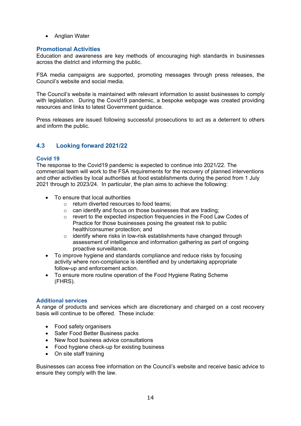• Anglian Water

## **Promotional Activities**

Education and awareness are key methods of encouraging high standards in businesses across the district and informing the public.

FSA media campaigns are supported, promoting messages through press releases, the Council's website and social media.

The Council's website is maintained with relevant information to assist businesses to comply with legislation. During the Covid19 pandemic, a bespoke webpage was created providing resources and links to latest Government guidance.

Press releases are issued following successful prosecutions to act as a deterrent to others and inform the public.

# **4.3 Looking forward 2021/22**

#### **Covid 19**

The response to the Covid19 pandemic is expected to continue into 2021/22. The commercial team will work to the FSA requirements for the recovery of planned interventions and other activities by local authorities at food establishments during the period from 1 July 2021 through to 2023/24. In particular, the plan aims to achieve the following:

- To ensure that local authorities
	- o return diverted resources to food teams;
	- o can identify and focus on those businesses that are trading;
	- o revert to the expected inspection frequencies in the Food Law Codes of Practice for those businesses posing the greatest risk to public health/consumer protection; and
	- o identify where risks in low-risk establishments have changed through assessment of intelligence and information gathering as part of ongoing proactive surveillance.
- To improve hygiene and standards compliance and reduce risks by focusing activity where non-compliance is identified and by undertaking appropriate follow-up and enforcement action.
- To ensure more routine operation of the Food Hygiene Rating Scheme (FHRS).

#### **Additional services**

A range of products and services which are discretionary and charged on a cost recovery basis will continue to be offered. These include:

- Food safety organisers
- Safer Food Better Business packs
- New food business advice consultations
- Food hygiene check-up for existing business
- On site staff training

Businesses can access free information on the Council's website and receive basic advice to ensure they comply with the law.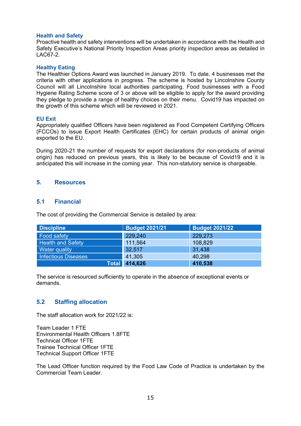#### **Health and Safety**

Proactive health and safety interventions will be undertaken in accordance with the Health and Safety Executive's National Priority Inspection Areas priority inspection areas as detailed in LAC67-2.

#### **Healthy Eating**

The Healthier Options Award was launched in January 2019. To date, 4 businesses met the criteria with other applications in progress. The scheme is hosted by Lincolnshire County Council will all Lincolnshire local authorities participating. Food businesses with a Food Hygiene Rating Scheme score of 3 or above will be eligible to apply for the award providing they pledge to provide a range of healthy choices on their menu. Covid19 has impacted on the growth of this scheme which will be reviewed in 2021.

#### **EU Exit**

Appropriately qualified Officers have been registered as Food Competent Certifying Officers (FCCOs) to issue Export Health Certificates (EHC) for certain products of animal origin exported to the EU.

During 2020-21 the number of requests for export declarations (for non-products of animal origin) has reduced on previous years, this is likely to be because of Covid19 and it is anticipated this will increase in the coming year. This non-statutory service is chargeable.

#### <span id="page-14-1"></span><span id="page-14-0"></span>**5. Resources**

#### **5.1 Financial**

The cost of providing the Commercial Service is detailed by area:

| <b>Discipline</b>          | <b>Budget 2021/21</b> | <b>Budget 2021/22</b> |
|----------------------------|-----------------------|-----------------------|
| <b>Food safety</b>         | 229,240               | 229,273               |
| <b>Health and Safety</b>   | 111,564               | 108,829               |
| Water quality              | 32,517                | 31,438                |
| <b>Infectious Diseases</b> | 41,305                | 40,298                |
| <b>Total</b>               | 414,626               | 410,538               |

<span id="page-14-2"></span>The service is resourced sufficiently to operate in the absence of exceptional events or demands.

#### **5.2 Staffing allocation**

The staff allocation work for 2021/22 is:

Team Leader 1 FTE Environmental Health Officers 1.8FTE Technical Officer 1FTE Trainee Technical Officer 1FTE Technical Support Officer 1FTE

The Lead Officer function required by the Food Law Code of Practice is undertaken by the Commercial Team Leader.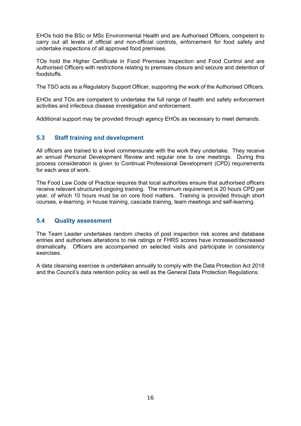EHOs hold the BSc or MSc Environmental Health and are Authorised Officers, competent to carry out all levels of official and non-official controls, enforcement for food safety and undertake inspections of all approved food premises.

TOs hold the Higher Certificate in Food Premises Inspection and Food Control and are Authorised Officers with restrictions relating to premises closure and seizure and detention of foodstuffs.

The TSO acts as a Regulatory Support Officer, supporting the work of the Authorised Officers.

EHOs and TOs are competent to undertake the full range of health and safety enforcement activities and infectious disease investigation and enforcement.

<span id="page-15-0"></span>Additional support may be provided through agency EHOs as necessary to meet demands.

# **5.3 Staff training and development**

All officers are trained to a level commensurate with the work they undertake. They receive an annual Personal Development Review and regular one to one meetings. During this process consideration is given to Continual Professional Development (CPD) requirements for each area of work.

The Food Law Code of Practice requires that local authorities ensure that authorised officers receive relevant structured ongoing training. The minimum requirement is 20 hours CPD per year, of which 10 hours must be on core food matters. Training is provided through short courses, e-learning, in house training, cascade training, team meetings and self-learning.

#### <span id="page-15-1"></span>**5.4 Quality assessment**

The Team Leader undertakes random checks of post inspection risk scores and database entries and authorises alterations to risk ratings or FHRS scores have increased/decreased dramatically. Officers are accompanied on selected visits and participate in consistency exercises.

A data cleansing exercise is undertaken annually to comply with the Data Protection Act 2018 and the Council's data retention policy as well as the General Data Protection Regulations.